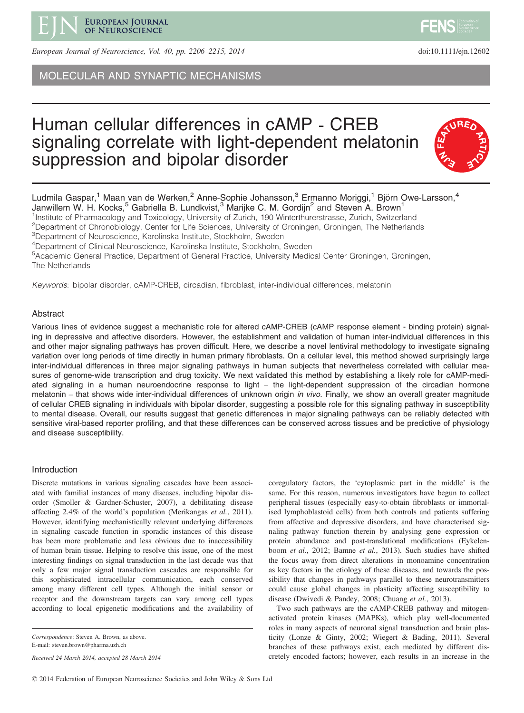

European Journal of Neuroscience, Vol. 40, pp. 2206–2215, 2014 doi:10.1111/ejn.12602

MOLECULAR AND SYNAPTIC MECHANISMS

# Human cellular differences in cAMP - CREB signaling correlate with light-dependent melatonin suppression and bipolar disorder



Ludmila Gaspar,<sup>1</sup> Maan van de Werken,<sup>2</sup> Anne-Sophie Johansson,<sup>3</sup> Ermanno Moriggi,<sup>1</sup> Björn Owe-Larsson,<sup>4</sup> Janwillem W. H. Kocks,<sup>5</sup> Gabriella B. Lundkvist,<sup>3</sup> Marijke C. M. Gordijn<sup>2</sup> and Steven A. Brown<sup>1</sup> <sup>1</sup>Institute of Pharmacology and Toxicology, University of Zurich, 190 Winterthurerstrasse, Zurich, Switzerland <sup>2</sup>Department of Chronobiology, Center for Life Sciences, University of Groningen, Groningen, The Netherlands <sup>3</sup>Department of Neuroscience, Karolinska Institute, Stockholm, Sweden 4 Department of Clinical Neuroscience, Karolinska Institute, Stockholm, Sweden

<sup>5</sup>Academic General Practice, Department of General Practice, University Medical Center Groningen, Groningen, The Netherlands

Keywords: bipolar disorder, cAMP-CREB, circadian, fibroblast, inter-individual differences, melatonin

# Abstract

Various lines of evidence suggest a mechanistic role for altered cAMP-CREB (cAMP response element - binding protein) signaling in depressive and affective disorders. However, the establishment and validation of human inter-individual differences in this and other major signaling pathways has proven difficult. Here, we describe a novel lentiviral methodology to investigate signaling variation over long periods of time directly in human primary fibroblasts. On a cellular level, this method showed surprisingly large inter-individual differences in three major signaling pathways in human subjects that nevertheless correlated with cellular measures of genome-wide transcription and drug toxicity. We next validated this method by establishing a likely role for cAMP-mediated signaling in a human neuroendocrine response to light – the light-dependent suppression of the circadian hormone melatonin – that shows wide inter-individual differences of unknown origin *in vivo*. Finally, we show an overall greater magnitude of cellular CREB signaling in individuals with bipolar disorder, suggesting a possible role for this signaling pathway in susceptibility to mental disease. Overall, our results suggest that genetic differences in major signaling pathways can be reliably detected with sensitive viral-based reporter profiling, and that these differences can be conserved across tissues and be predictive of physiology and disease susceptibility.

# Introduction

Discrete mutations in various signaling cascades have been associated with familial instances of many diseases, including bipolar disorder (Smoller & Gardner-Schuster, 2007), a debilitating disease affecting 2.4% of the world's population (Merikangas et al., 2011). However, identifying mechanistically relevant underlying differences in signaling cascade function in sporadic instances of this disease has been more problematic and less obvious due to inaccessibility of human brain tissue. Helping to resolve this issue, one of the most interesting findings on signal transduction in the last decade was that only a few major signal transduction cascades are responsible for this sophisticated intracellular communication, each conserved among many different cell types. Although the initial sensor or receptor and the downstream targets can vary among cell types according to local epigenetic modifications and the availability of

Correspondence: Steven A. Brown, as above. E-mail: steven.brown@pharma.uzh.ch

Received 24 March 2014, accepted 28 March 2014

coregulatory factors, the 'cytoplasmic part in the middle' is the same. For this reason, numerous investigators have begun to collect peripheral tissues (especially easy-to-obtain fibroblasts or immortalised lymphoblastoid cells) from both controls and patients suffering from affective and depressive disorders, and have characterised signaling pathway function therein by analysing gene expression or protein abundance and post-translational modifications (Eykelenboom et al., 2012; Bamne et al., 2013). Such studies have shifted the focus away from direct alterations in monoamine concentration as key factors in the etiology of these diseases, and towards the possibility that changes in pathways parallel to these neurotransmitters could cause global changes in plasticity affecting susceptibility to disease (Dwivedi & Pandey, 2008; Chuang et al., 2013).

Two such pathways are the cAMP-CREB pathway and mitogenactivated protein kinases (MAPKs), which play well-documented roles in many aspects of neuronal signal transduction and brain plasticity (Lonze & Ginty, 2002; Wiegert & Bading, 2011). Several branches of these pathways exist, each mediated by different discretely encoded factors; however, each results in an increase in the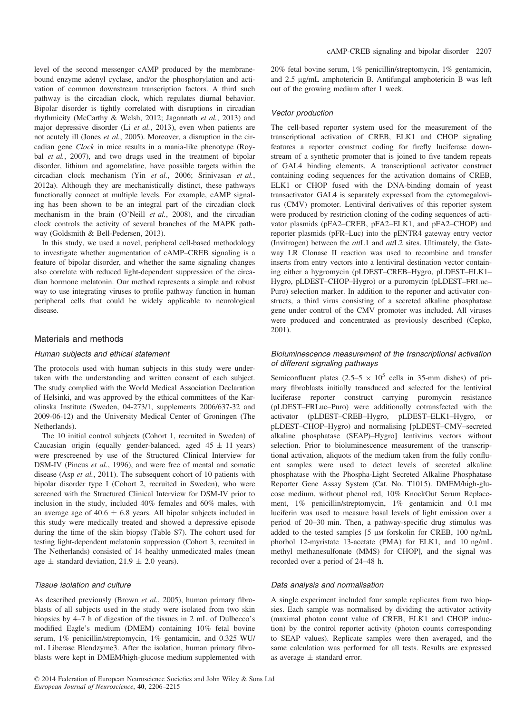level of the second messenger cAMP produced by the membranebound enzyme adenyl cyclase, and/or the phosphorylation and activation of common downstream transcription factors. A third such pathway is the circadian clock, which regulates diurnal behavior. Bipolar disorder is tightly correlated with disruptions in circadian rhythmicity (McCarthy & Welsh, 2012; Jagannath et al., 2013) and major depressive disorder (Li et al., 2013), even when patients are not acutely ill (Jones et al., 2005). Moreover, a disruption in the circadian gene Clock in mice results in a mania-like phenotype (Roybal et al., 2007), and two drugs used in the treatment of bipolar disorder, lithium and agomelatine, have possible targets within the circadian clock mechanism (Yin et al., 2006; Srinivasan et al., 2012a). Although they are mechanistically distinct, these pathways functionally connect at multiple levels. For example, cAMP signaling has been shown to be an integral part of the circadian clock mechanism in the brain (O'Neill et al., 2008), and the circadian clock controls the activity of several branches of the MAPK pathway (Goldsmith & Bell-Pedersen, 2013).

In this study, we used a novel, peripheral cell-based methodology to investigate whether augmentation of cAMP–CREB signaling is a feature of bipolar disorder, and whether the same signaling changes also correlate with reduced light-dependent suppression of the circadian hormone melatonin. Our method represents a simple and robust way to use integrating viruses to profile pathway function in human peripheral cells that could be widely applicable to neurological disease.

# Materials and methods

## Human subjects and ethical statement

The protocols used with human subjects in this study were undertaken with the understanding and written consent of each subject. The study complied with the World Medical Association Declaration of Helsinki, and was approved by the ethical committees of the Karolinska Institute (Sweden, 04-273/1, supplements 2006/637-32 and 2009-06-12) and the University Medical Center of Groningen (The Netherlands).

The 10 initial control subjects (Cohort 1, recruited in Sweden) of Caucasian origin (equally gender-balanced, aged  $45 \pm 11$  years) were prescreened by use of the Structured Clinical Interview for DSM-IV (Pincus et al., 1996), and were free of mental and somatic disease (Asp et al., 2011). The subsequent cohort of 10 patients with bipolar disorder type I (Cohort 2, recruited in Sweden), who were screened with the Structured Clinical Interview for DSM-IV prior to inclusion in the study, included 40% females and 60% males, with an average age of 40.6  $\pm$  6.8 years. All bipolar subjects included in this study were medically treated and showed a depressive episode during the time of the skin biopsy (Table S7). The cohort used for testing light-dependent melatonin suppression (Cohort 3, recruited in The Netherlands) consisted of 14 healthy unmedicated males (mean age  $\pm$  standard deviation, 21.9  $\pm$  2.0 years).

# Tissue isolation and culture

As described previously (Brown et al., 2005), human primary fibroblasts of all subjects used in the study were isolated from two skin biopsies by 4–7 h of digestion of the tissues in 2 mL of Dulbecco's modified Eagle's medium (DMEM) containing 10% fetal bovine serum, 1% penicillin/streptomycin, 1% gentamicin, and 0.325 WU/ mL Liberase Blendzyme3. After the isolation, human primary fibroblasts were kept in DMEM/high-glucose medium supplemented with 20% fetal bovine serum, 1% penicillin/streptomycin, 1% gentamicin, and 2.5 µg/mL amphotericin B. Antifungal amphotericin B was left out of the growing medium after 1 week.

# Vector production

The cell-based reporter system used for the measurement of the transcriptional activation of CREB, ELK1 and CHOP signaling features a reporter construct coding for firefly luciferase downstream of a synthetic promoter that is joined to five tandem repeats of GAL4 binding elements. A transcriptional activator construct containing coding sequences for the activation domains of CREB, ELK1 or CHOP fused with the DNA-binding domain of yeast transactivator GAL4 is separately expressed from the cytomegalovirus (CMV) promoter. Lentiviral derivatives of this reporter system were produced by restriction cloning of the coding sequences of activator plasmids (pFA2–CREB, pFA2–ELK1, and pFA2–CHOP) and reporter plasmids (pFR–Luc) into the pENTR4 gateway entry vector (Invitrogen) between the attL1 and attL2 sites. Ultimately, the Gateway LR Clonase II reaction was used to recombine and transfer inserts from entry vectors into a lentiviral destination vector containing either a hygromycin (pLDEST–CREB–Hygro, pLDEST–ELK1– Hygro, pLDEST–CHOP–Hygro) or a puromycin (pLDEST–FRLuc– Puro) selection marker. In addition to the reporter and activator constructs, a third virus consisting of a secreted alkaline phosphatase gene under control of the CMV promoter was included. All viruses were produced and concentrated as previously described (Cepko, 2001).

# Bioluminescence measurement of the transcriptional activation of different signaling pathways

Semiconfluent plates  $(2.5-5 \times 10^5 \text{ cells in } 35\text{-mm}$  dishes) of primary fibroblasts initially transduced and selected for the lentiviral luciferase reporter construct carrying puromycin resistance (pLDEST–FRLuc–Puro) were additionally cotransfected with the activator (pLDEST–CREB–Hygro, pLDEST–ELK1–Hygro, or pLDEST–CHOP–Hygro) and normalising [pLDEST–CMV–secreted alkaline phosphatase (SEAP)–Hygro] lentivirus vectors without selection. Prior to bioluminescence measurement of the transcriptional activation, aliquots of the medium taken from the fully confluent samples were used to detect levels of secreted alkaline phosphatase with the Phospha-Light Secreted Alkaline Phosphatase Reporter Gene Assay System (Cat. No. T1015). DMEM/high-glucose medium, without phenol red, 10% KnockOut Serum Replacement, 1% penicillin/streptomycin, 1% gentamicin and 0.1 mm luciferin was used to measure basal levels of light emission over a period of 20–30 min. Then, a pathway-specific drug stimulus was added to the tested samples  $[5 \mu M$  forskolin for CREB,  $100 \text{ ng/mL}$ phorbol 12-myristate 13-acetate (PMA) for ELK1, and 10 ng/mL methyl methanesulfonate (MMS) for CHOP], and the signal was recorded over a period of 24–48 h.

# Data analysis and normalisation

A single experiment included four sample replicates from two biopsies. Each sample was normalised by dividing the activator activity (maximal photon count value of CREB, ELK1 and CHOP induction) by the control reporter activity (photon counts corresponding to SEAP values). Replicate samples were then averaged, and the same calculation was performed for all tests. Results are expressed as average  $\pm$  standard error.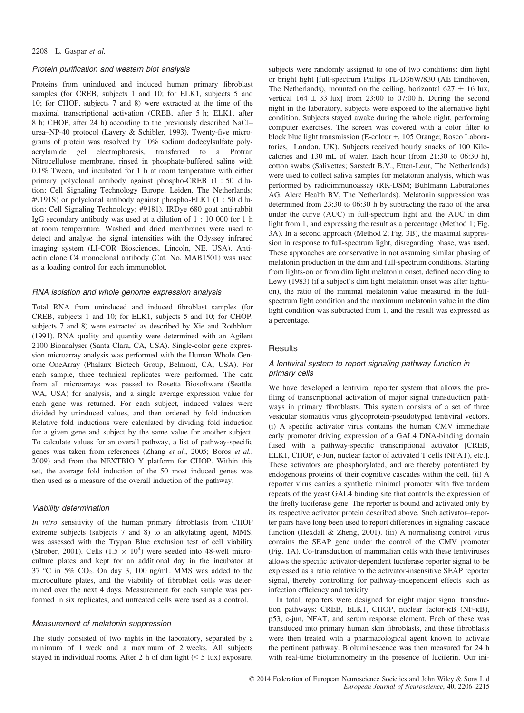## 2208 L. Gaspar et al.

## Protein purification and western blot analysis

Proteins from uninduced and induced human primary fibroblast samples (for CREB, subjects 1 and 10; for ELK1, subjects 5 and 10; for CHOP, subjects 7 and 8) were extracted at the time of the maximal transcriptional activation (CREB, after 5 h; ELK1, after 8 h; CHOP, after 24 h) according to the previously described NaCl– urea–NP-40 protocol (Lavery & Schibler, 1993). Twenty-five micrograms of protein was resolved by 10% sodium dodecylsulfate polyacrylamide gel electrophoresis, transferred to a Protran Nitrocellulose membrane, rinsed in phosphate-buffered saline with 0.1% Tween, and incubated for 1 h at room temperature with either primary polyclonal antibody against phospho-CREB (1 : 50 dilution; Cell Signaling Technology Europe, Leiden, The Netherlands; #9191S) or polyclonal antibody against phospho-ELK1 (1 : 50 dilution; Cell Signaling Technology; #9181). IRDye 680 goat anti-rabbit IgG secondary antibody was used at a dilution of 1 : 10 000 for 1 h at room temperature. Washed and dried membranes were used to detect and analyse the signal intensities with the Odyssey infrared imaging system (LI-COR Biosciences, Lincoln, NE, USA). Antiactin clone C4 monoclonal antibody (Cat. No. MAB1501) was used as a loading control for each immunoblot.

## RNA isolation and whole genome expression analysis

Total RNA from uninduced and induced fibroblast samples (for CREB, subjects 1 and 10; for ELK1, subjects 5 and 10; for CHOP, subjects 7 and 8) were extracted as described by Xie and Rothblum (1991). RNA quality and quantity were determined with an Agilent 2100 Bioanalyser (Santa Clara, CA, USA). Single-color gene expression microarray analysis was performed with the Human Whole Genome OneArray (Phalanx Biotech Group, Belmont, CA, USA). For each sample, three technical replicates were performed. The data from all microarrays was passed to Rosetta Biosoftware (Seattle, WA, USA) for analysis, and a single average expression value for each gene was returned. For each subject, induced values were divided by uninduced values, and then ordered by fold induction. Relative fold inductions were calculated by dividing fold induction for a given gene and subject by the same value for another subject. To calculate values for an overall pathway, a list of pathway-specific genes was taken from references (Zhang et al., 2005; Boros et al., 2009) and from the NEXTBIO Y platform for CHOP. Within this set, the average fold induction of the 50 most induced genes was then used as a measure of the overall induction of the pathway.

# Viability determination

In vitro sensitivity of the human primary fibroblasts from CHOP extreme subjects (subjects 7 and 8) to an alkylating agent, MMS, was assessed with the Trypan Blue exclusion test of cell viability (Strober, 2001). Cells  $(1.5 \times 10^4)$  were seeded into 48-well microculture plates and kept for an additional day in the incubator at 37 °C in 5% CO2. On day 3, 100 ng/mL MMS was added to the microculture plates, and the viability of fibroblast cells was determined over the next 4 days. Measurement for each sample was performed in six replicates, and untreated cells were used as a control.

# Measurement of melatonin suppression

The study consisted of two nights in the laboratory, separated by a minimum of 1 week and a maximum of 2 weeks. All subjects stayed in individual rooms. After 2 h of dim light  $(5 \text{ lux})$  exposure, subjects were randomly assigned to one of two conditions: dim light or bright light [full-spectrum Philips TL-D36W/830 (AE Eindhoven, The Netherlands), mounted on the ceiling, horizontal 627  $\pm$  16 lux, vertical  $164 \pm 33$  lux] from 23:00 to 07:00 h. During the second night in the laboratory, subjects were exposed to the alternative light condition. Subjects stayed awake during the whole night, performing computer exercises. The screen was covered with a color filter to block blue light transmission (E-colour +, 105 Orange; Rosco Laboratories, London, UK). Subjects received hourly snacks of 100 Kilocalories and 130 mL of water. Each hour (from 21:30 to 06:30 h), cotton swabs (Salivettes; Sarstedt B.V., Etten-Leur, The Netherlands) were used to collect saliva samples for melatonin analysis, which was performed by radioimmunoassay (RK-DSM; Bühlmann Laboratories AG, Alere Health BV, The Netherlands). Melatonin suppression was determined from 23:30 to 06:30 h by subtracting the ratio of the area under the curve (AUC) in full-spectrum light and the AUC in dim light from 1, and expressing the result as a percentage (Method 1; Fig. 3A). In a second approach (Method 2; Fig. 3B), the maximal suppression in response to full-spectrum light, disregarding phase, was used. These approaches are conservative in not assuming similar phasing of melatonin production in the dim and full-spectrum conditions. Starting from lights-on or from dim light melatonin onset, defined according to Lewy (1983) (if a subject's dim light melatonin onset was after lightson), the ratio of the minimal melatonin value measured in the fullspectrum light condition and the maximum melatonin value in the dim light condition was subtracted from 1, and the result was expressed as a percentage.

# **Results**

# A lentiviral system to report signaling pathway function in primary cells

We have developed a lentiviral reporter system that allows the profiling of transcriptional activation of major signal transduction pathways in primary fibroblasts. This system consists of a set of three vesicular stomatitis virus glycoprotein-pseudotyped lentiviral vectors. (i) A specific activator virus contains the human CMV immediate early promoter driving expression of a GAL4 DNA-binding domain fused with a pathway-specific transcriptional activator [CREB, ELK1, CHOP, c-Jun, nuclear factor of activated T cells (NFAT), etc.]. These activators are phosphorylated, and are thereby potentiated by endogenous proteins of their cognitive cascades within the cell. (ii) A reporter virus carries a synthetic minimal promoter with five tandem repeats of the yeast GAL4 binding site that controls the expression of the firefly luciferase gene. The reporter is bound and activated only by its respective activator protein described above. Such activator–reporter pairs have long been used to report differences in signaling cascade function (Hexdall & Zheng, 2001). (iii) A normalising control virus contains the SEAP gene under the control of the CMV promoter (Fig. 1A). Co-transduction of mammalian cells with these lentiviruses allows the specific activator-dependent luciferase reporter signal to be expressed as a ratio relative to the activator-insensitive SEAP reporter signal, thereby controlling for pathway-independent effects such as infection efficiency and toxicity.

In total, reporters were designed for eight major signal transduction pathways: CREB, ELK1, CHOP, nuclear factor- $\kappa$ B (NF- $\kappa$ B), p53, c-jun, NFAT, and serum response element. Each of these was transduced into primary human skin fibroblasts, and these fibroblasts were then treated with a pharmacological agent known to activate the pertinent pathway. Bioluminescence was then measured for 24 h with real-time bioluminometry in the presence of luciferin. Our ini-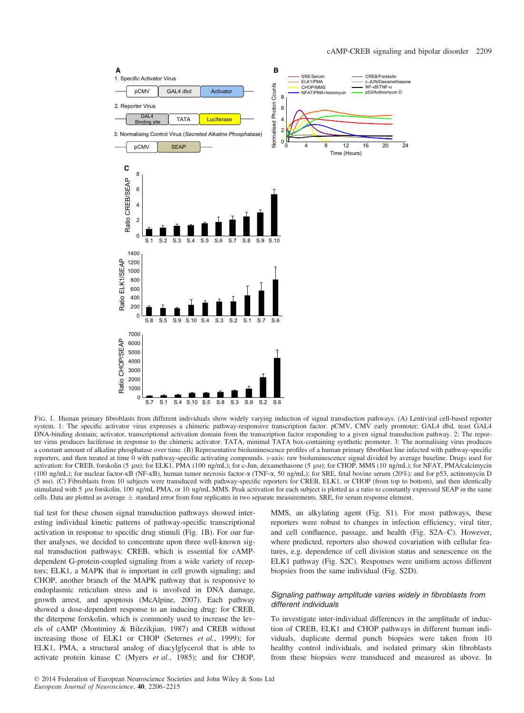

FIG. 1. Human primary fibroblasts from different individuals show widely varying induction of signal transduction pathways. (A) Lentiviral cell-based reporter system. 1: The specific activator virus expresses a chimeric pathway-responsive transcription factor. pCMV, CMV early promoter; GAL4 dbd, teast GAL4 DNA-binding domain; activator, transcriptional activation domain from the transcription factor responding to a given signal transduction pathway. 2: The reporter virus produces luciferase in response to the chimeric activator. TATA, minimal TATA box-containing synthetic promoter. 3: The normalising virus produces a constant amount of alkaline phosphatase over time. (B) Representative bioluminescence profiles of a human primary fibroblast line infected with pathway-specific reporters, and then treated at time 0 with pathway-specific activating compounds. y-axis: raw bioluminescence signal divided by average baseline. Drugs used for activation: for CREB, forskolin (5 µM); for ELK1, PMA (100 ng/mL); for c-Jun, dexamethasone (5 µM); for CHOP, MMS (10 ng/mL); for NFAT, PMA/calcimycin (100 ng/mL); for nuclear factor- $\kappa$ B (NF- $\kappa$ B), human tumor necrosis factor- $\alpha$  (TNF- $\alpha$ , 50 ng/mL); for SRE, fetal bovine serum (20%); and for p53, actinomycin D (5 nM). (C) Fibroblasts from 10 subjects were transduced with pathway-specific reporters for CREB, ELK1, or CHOP (from top to bottom), and then identically stimulated with 5 µm forskolin, 100 ng/mL PMA, or 10 ng/mL MMS. Peak activation for each subject is plotted as a ratio to constantly expressed SEAP in the same cells. Data are plotted as average  $\pm$  standard error from four replicates in two separate measurements. SRE, for serum response element.

tial test for these chosen signal transduction pathways showed interesting individual kinetic patterns of pathway-specific transcriptional activation in response to specific drug stimuli (Fig. 1B). For our further analyses, we decided to concentrate upon three well-known signal transduction pathways: CREB, which is essential for cAMPdependent G-protein-coupled signaling from a wide variety of receptors; ELK1, a MAPK that is important in cell growth signaling; and CHOP, another branch of the MAPK pathway that is responsive to endoplasmic reticulum stress and is involved in DNA damage, growth arrest, and apoptosis (McAlpine, 2007). Each pathway showed a dose-dependent response to an inducing drug: for CREB, the diterpene forskolin, which is commonly used to increase the levels of cAMP (Montminy & Bilezikjian, 1987) and CREB without increasing those of ELK1 or CHOP (Seternes et al., 1999); for ELK1, PMA, a structural analog of diacylglycerol that is able to activate protein kinase C (Myers et al., 1985); and for CHOP,

MMS, an alkylating agent (Fig. S1). For most pathways, these reporters were robust to changes in infection efficiency, viral titer, and cell confluence, passage, and health (Fig. S2A–C). However, where predicted, reporters also showed covariation with cellular features, e.g. dependence of cell division status and senescence on the ELK1 pathway (Fig. S2C). Responses were uniform across different biopsies from the same individual (Fig. S2D).

# Signaling pathway amplitude varies widely in fibroblasts from different individuals

To investigate inter-individual differences in the amplitude of induction of CREB, ELK1 and CHOP pathways in different human individuals, duplicate dermal punch biopsies were taken from 10 healthy control individuals, and isolated primary skin fibroblasts from these biopsies were transduced and measured as above. In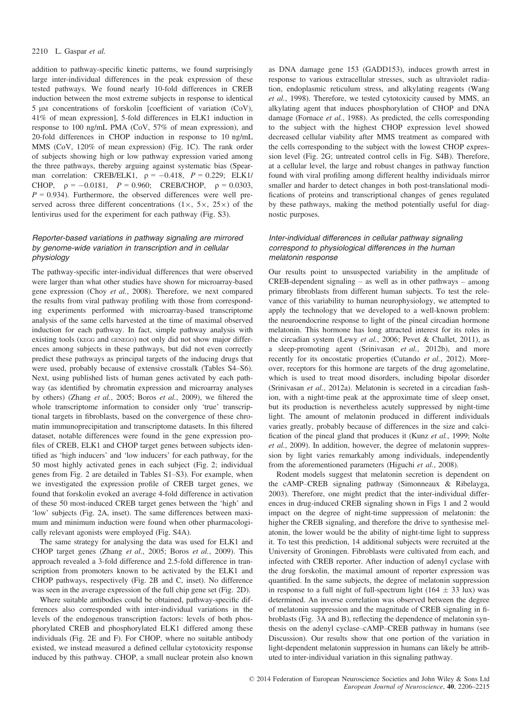addition to pathway-specific kinetic patterns, we found surprisingly large inter-individual differences in the peak expression of these tested pathways. We found nearly 10-fold differences in CREB induction between the most extreme subjects in response to identical 5 μM concentrations of forskolin [coefficient of variation (CoV), 41% of mean expression], 5-fold differences in ELK1 induction in response to 100 ng/mL PMA (CoV, 57% of mean expression), and 20-fold differences in CHOP induction in response to 10 ng/mL MMS (CoV, 120% of mean expression) (Fig. 1C). The rank order of subjects showing high or low pathway expression varied among the three pathways, thereby arguing against systematic bias (Spearman correlation: CREB/ELK1,  $\rho = -0.418$ ,  $P = 0.229$ ; ELK1/ CHOP,  $\rho = -0.0181$ ,  $P = 0.960$ ; CREB/CHOP,  $\rho = 0.0303$ ,  $P = 0.934$ ). Furthermore, the observed differences were well preserved across three different concentrations  $(1\times, 5\times, 25\times)$  of the lentivirus used for the experiment for each pathway (Fig. S3).

# Reporter-based variations in pathway signaling are mirrored by genome-wide variation in transcription and in cellular physiology

The pathway-specific inter-individual differences that were observed were larger than what other studies have shown for microarray-based gene expression (Choy et al., 2008). Therefore, we next compared the results from viral pathway profiling with those from corresponding experiments performed with microarray-based transcriptome analysis of the same cells harvested at the time of maximal observed induction for each pathway. In fact, simple pathway analysis with existing tools (KEGG and GENEGO) not only did not show major differences among subjects in these pathways, but did not even correctly predict these pathways as principal targets of the inducing drugs that were used, probably because of extensive crosstalk (Tables S4–S6). Next, using published lists of human genes activated by each pathway (as identified by chromatin expression and microarray analyses by others) (Zhang et al., 2005; Boros et al., 2009), we filtered the whole transcriptome information to consider only 'true' transcriptional targets in fibroblasts, based on the convergence of these chromatin immunoprecipitation and transcriptome datasets. In this filtered dataset, notable differences were found in the gene expression profiles of CREB, ELK1 and CHOP target genes between subjects identified as 'high inducers' and 'low inducers' for each pathway, for the 50 most highly activated genes in each subject (Fig. 2; individual genes from Fig. 2 are detailed in Tables S1–S3). For example, when we investigated the expression profile of CREB target genes, we found that forskolin evoked an average 4-fold difference in activation of these 50 most-induced CREB target genes between the 'high' and 'low' subjects (Fig. 2A, inset). The same differences between maximum and minimum induction were found when other pharmacologically relevant agonists were employed (Fig. S4A).

The same strategy for analysing the data was used for ELK1 and CHOP target genes (Zhang et al., 2005; Boros et al., 2009). This approach revealed a 3-fold difference and 2.5-fold difference in transcription from promoters known to be activated by the ELK1 and CHOP pathways, respectively (Fig. 2B and C, inset). No difference was seen in the average expression of the full chip gene set (Fig. 2D).

Where suitable antibodies could be obtained, pathway-specific differences also corresponded with inter-individual variations in the levels of the endogenous transcription factors: levels of both phosphorylated CREB and phosphorylated ELK1 differed among these individuals (Fig. 2E and F). For CHOP, where no suitable antibody existed, we instead measured a defined cellular cytotoxicity response induced by this pathway. CHOP, a small nuclear protein also known as DNA damage gene 153 (GADD153), induces growth arrest in response to various extracellular stresses, such as ultraviolet radiation, endoplasmic reticulum stress, and alkylating reagents (Wang et al., 1998). Therefore, we tested cytotoxicity caused by MMS, an alkylating agent that induces phosphorylation of CHOP and DNA damage (Fornace et al., 1988). As predicted, the cells corresponding to the subject with the highest CHOP expression level showed decreased cellular viability after MMS treatment as compared with the cells corresponding to the subject with the lowest CHOP expression level (Fig. 2G; untreated control cells in Fig. S4B). Therefore, at a cellular level, the large and robust changes in pathway function found with viral profiling among different healthy individuals mirror smaller and harder to detect changes in both post-translational modifications of proteins and transcriptional changes of genes regulated by these pathways, making the method potentially useful for diagnostic purposes.

# Inter-individual differences in cellular pathway signaling correspond to physiological differences in the human melatonin response

Our results point to unsuspected variability in the amplitude of CREB-dependent signaling – as well as in other pathways – among primary fibroblasts from different human subjects. To test the relevance of this variability to human neurophysiology, we attempted to apply the technology that we developed to a well-known problem: the neuroendocrine response to light of the pineal circadian hormone melatonin. This hormone has long attracted interest for its roles in the circadian system (Lewy et al., 2006; Pevet & Challet, 2011), as a sleep-promoting agent (Srinivasan et al., 2012b), and more recently for its oncostatic properties (Cutando et al., 2012). Moreover, receptors for this hormone are targets of the drug agomelatine, which is used to treat mood disorders, including bipolar disorder (Srinivasan et al., 2012a). Melatonin is secreted in a circadian fashion, with a night-time peak at the approximate time of sleep onset, but its production is nevertheless acutely suppressed by night-time light. The amount of melatonin produced in different individuals varies greatly, probably because of differences in the size and calcification of the pineal gland that produces it (Kunz et al., 1999; Nolte et al., 2009). In addition, however, the degree of melatonin suppression by light varies remarkably among individuals, independently from the aforementioned parameters (Higuchi et al., 2008).

Rodent models suggest that melatonin secretion is dependent on the cAMP–CREB signaling pathway (Simonneaux & Ribelayga, 2003). Therefore, one might predict that the inter-individual differences in drug-induced CREB signaling shown in Figs 1 and 2 would impact on the degree of night-time suppression of melatonin: the higher the CREB signaling, and therefore the drive to synthesise melatonin, the lower would be the ability of night-time light to suppress it. To test this prediction, 14 additional subjects were recruited at the University of Groningen. Fibroblasts were cultivated from each, and infected with CREB reporter. After induction of adenyl cyclase with the drug forskolin, the maximal amount of reporter expression was quantified. In the same subjects, the degree of melatonin suppression in response to a full night of full-spectrum light (164  $\pm$  33 lux) was determined. An inverse correlation was observed between the degree of melatonin suppression and the magnitude of CREB signaling in fibroblasts (Fig. 3A and B), reflecting the dependence of melatonin synthesis on the adenyl cyclase–cAMP–CREB pathway in humans (see Discussion). Our results show that one portion of the variation in light-dependent melatonin suppression in humans can likely be attributed to inter-individual variation in this signaling pathway.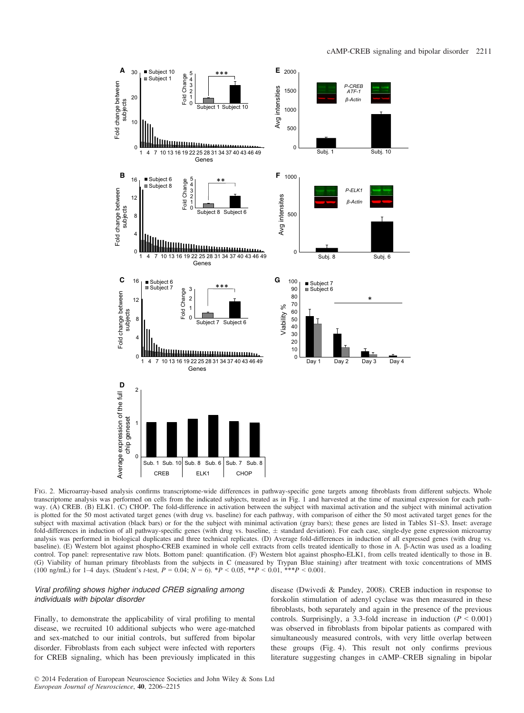

FIG. 2. Microarray-based analysis confirms transcriptome-wide differences in pathway-specific gene targets among fibroblasts from different subjects. Whole transcriptome analysis was performed on cells from the indicated subjects, treated as in Fig. 1 and harvested at the time of maximal expression for each pathway. (A) CREB. (B) ELK1. (C) CHOP. The fold-difference in activation between the subject with maximal activation and the subject with minimal activation is plotted for the 50 most activated target genes (with drug vs. baseline) for each pathway, with comparison of either the 50 most activated target genes for the subject with maximal activation (black bars) or for the the subject with minimal activation (gray bars); these genes are listed in Tables S1–S3. Inset: average fold-differences in induction of all pathway-specific genes (with drug vs. baseline,  $\pm$  standard deviation). For each case, single-dye gene expression microarray analysis was performed in biological duplicates and three technical replicates. (D) Average fold-differences in induction of all expressed genes (with drug vs. baseline). (E) Western blot against phospho-CREB examined in whole cell extracts from cells treated identically to those in A. b-Actin was used as a loading control. Top panel: representative raw blots. Bottom panel: quantification. (F) Western blot against phospho-ELK1, from cells treated identically to those in B. (G) Viability of human primary fibroblasts from the subjects in C (measured by Trypan Blue staining) after treatment with toxic concentrations of MMS (100 ng/mL) for 1–4 days. (Student's t-test,  $P = 0.04$ ;  $N = 6$ ).  $*P < 0.05$ ,  $*P < 0.01$ ,  $*P < 0.001$ .

# Viral profiling shows higher induced CREB signaling among individuals with bipolar disorder

Finally, to demonstrate the applicability of viral profiling to mental disease, we recruited 10 additional subjects who were age-matched and sex-matched to our initial controls, but suffered from bipolar disorder. Fibroblasts from each subject were infected with reporters for CREB signaling, which has been previously implicated in this

disease (Dwivedi & Pandey, 2008). CREB induction in response to forskolin stimulation of adenyl cyclase was then measured in these fibroblasts, both separately and again in the presence of the previous controls. Surprisingly, a 3.3-fold increase in induction  $(P < 0.001)$ was observed in fibroblasts from bipolar patients as compared with simultaneously measured controls, with very little overlap between these groups (Fig. 4). This result not only confirms previous literature suggesting changes in cAMP–CREB signaling in bipolar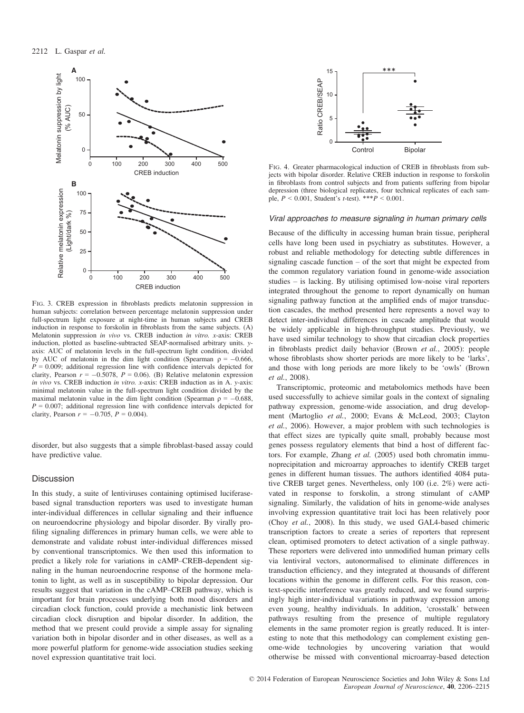

Fig. 3. CREB expression in fibroblasts predicts melatonin suppression in human subjects: correlation between percentage melatonin suppression under full-spectrum light exposure at night-time in human subjects and CREB induction in response to forskolin in fibroblasts from the same subjects. (A) Melatonin suppression in vivo vs. CREB induction in vitro. x-axis: CREB induction, plotted as baseline-subtracted SEAP-normalised arbitrary units. yaxis: AUC of melatonin levels in the full-spectrum light condition, divided by AUC of melatonin in the dim light condition (Spearman  $\rho = -0.666$ ,  $P = 0.009$ ; additional regression line with confidence intervals depicted for clarity, Pearson  $r = -0.5078$ ,  $P = 0.06$ ). (B) Relative melatonin expression in vivo vs. CREB induction in vitro. x-axis: CREB induction as in A. y-axis: minimal melatonin value in the full-spectrum light condition divided by the maximal melatonin value in the dim light condition (Spearman  $\rho = -0.688$ ,  $P = 0.007$ ; additional regression line with confidence intervals depicted for clarity, Pearson  $r = -0.705$ ,  $P = 0.004$ ).

disorder, but also suggests that a simple fibroblast-based assay could have predictive value.

# Discussion

In this study, a suite of lentiviruses containing optimised luciferasebased signal transduction reporters was used to investigate human inter-individual differences in cellular signaling and their influence on neuroendocrine physiology and bipolar disorder. By virally profiling signaling differences in primary human cells, we were able to demonstrate and validate robust inter-individual differences missed by conventional transcriptomics. We then used this information to predict a likely role for variations in cAMP–CREB-dependent signaling in the human neuroendocrine response of the hormone melatonin to light, as well as in susceptibility to bipolar depression. Our results suggest that variation in the cAMP–CREB pathway, which is important for brain processes underlying both mood disorders and circadian clock function, could provide a mechanistic link between circadian clock disruption and bipolar disorder. In addition, the method that we present could provide a simple assay for signaling variation both in bipolar disorder and in other diseases, as well as a more powerful platform for genome-wide association studies seeking novel expression quantitative trait loci.



FIG. 4. Greater pharmacological induction of CREB in fibroblasts from subjects with bipolar disorder. Relative CREB induction in response to forskolin in fibroblasts from control subjects and from patients suffering from bipolar depression (three biological replicates, four technical replicates of each sample,  $P < 0.001$ , Student's t-test). \*\*\* $P < 0.001$ .

#### Viral approaches to measure signaling in human primary cells

Because of the difficulty in accessing human brain tissue, peripheral cells have long been used in psychiatry as substitutes. However, a robust and reliable methodology for detecting subtle differences in signaling cascade function – of the sort that might be expected from the common regulatory variation found in genome-wide association studies – is lacking. By utilising optimised low-noise viral reporters integrated throughout the genome to report dynamically on human signaling pathway function at the amplified ends of major transduction cascades, the method presented here represents a novel way to detect inter-individual differences in cascade amplitude that would be widely applicable in high-throughput studies. Previously, we have used similar technology to show that circadian clock properties in fibroblasts predict daily behavior (Brown et al., 2005): people whose fibroblasts show shorter periods are more likely to be 'larks', and those with long periods are more likely to be 'owls' (Brown et al., 2008).

Transcriptomic, proteomic and metabolomics methods have been used successfully to achieve similar goals in the context of signaling pathway expression, genome-wide association, and drug development (Martoglio et al., 2000; Evans & McLeod, 2003; Clayton et al., 2006). However, a major problem with such technologies is that effect sizes are typically quite small, probably because most genes possess regulatory elements that bind a host of different factors. For example, Zhang et al. (2005) used both chromatin immunoprecipitation and microarray approaches to identify CREB target genes in different human tissues. The authors identified 4084 putative CREB target genes. Nevertheless, only 100 (i.e. 2%) were activated in response to forskolin, a strong stimulant of cAMP signaling. Similarly, the validation of hits in genome-wide analyses involving expression quantitative trait loci has been relatively poor (Choy et al., 2008). In this study, we used GAL4-based chimeric transcription factors to create a series of reporters that represent clean, optimised promoters to detect activation of a single pathway. These reporters were delivered into unmodified human primary cells via lentiviral vectors, autonormalised to eliminate differences in transduction efficiency, and they integrated at thousands of different locations within the genome in different cells. For this reason, context-specific interference was greatly reduced, and we found surprisingly high inter-individual variations in pathway expression among even young, healthy individuals. In addition, 'crosstalk' between pathways resulting from the presence of multiple regulatory elements in the same promoter region is greatly reduced. It is interesting to note that this methodology can complement existing genome-wide technologies by uncovering variation that would otherwise be missed with conventional microarray-based detection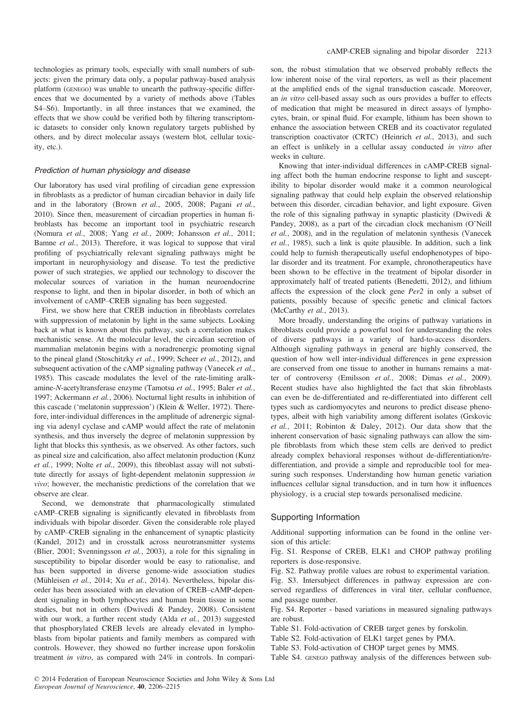technologies as primary tools, especially with small numbers of subjects: given the primary data only, a popular pathway-based analysis platform (GENEGO) was unable to unearth the pathway-specific differences that we documented by a variety of methods above (Tables S4–S6). Importantly, in all three instances that we examined, the effects that we show could be verified both by filtering transcriptomic datasets to consider only known regulatory targets published by others, and by direct molecular assays (western blot, cellular toxicity, etc.).

### Prediction of human physiology and disease

Our laboratory has used viral profiling of circadian gene expression in fibroblasts as a predictor of human circadian behavior in daily life and in the laboratory (Brown et al., 2005, 2008; Pagani et al., 2010). Since then, measurement of circadian properties in human fibroblasts has become an important tool in psychiatric research (Nomura et al., 2008; Yang et al., 2009; Johansson et al., 2011; Bamne et al., 2013). Therefore, it was logical to suppose that viral profiling of psychiatrically relevant signaling pathways might be important in neurophysiology and disease. To test the predictive power of such strategies, we applied our technology to discover the molecular sources of variation in the human neuroendocrine response to light, and then in bipolar disorder, in both of which an involvement of cAMP–CREB signaling has been suggested.

First, we show here that CREB induction in fibroblasts correlates with suppression of melatonin by light in the same subjects. Looking back at what is known about this pathway, such a correlation makes mechanistic sense. At the molecular level, the circadian secretion of mammalian melatonin begins with a noradrenergic promoting signal to the pineal gland (Stoschitzky et al., 1999; Scheer et al., 2012), and subsequent activation of the cAMP signaling pathway (Vanecek et al., 1985). This cascade modulates the level of the rate-limiting aralkamine-N-acetyltransferase enzyme (Tamotsu et al., 1995; Baler et al., 1997; Ackermann et al., 2006). Nocturnal light results in inhibition of this cascade ('melatonin suppression') (Klein & Weller, 1972). Therefore, inter-individual differences in the amplitude of adrenergic signaling via adenyl cyclase and cAMP would affect the rate of melatonin synthesis, and thus inversely the degree of melatonin suppression by light that blocks this synthesis, as we observed. As other factors, such as pineal size and calcification, also affect melatonin production (Kunz et al., 1999; Nolte et al., 2009), this fibroblast assay will not substitute directly for assays of light-dependent melatonin suppression in vivo; however, the mechanistic predictions of the correlation that we observe are clear.

Second, we demonstrate that pharmacologically stimulated cAMP–CREB signaling is significantly elevated in fibroblasts from individuals with bipolar disorder. Given the considerable role played by cAMP–CREB signaling in the enhancement of synaptic plasticity (Kandel, 2012) and in crosstalk across neurotransmitter systems (Blier, 2001; Svenningsson et al., 2003), a role for this signaling in susceptibility to bipolar disorder would be easy to rationalise, and has been supported in diverse genome-wide association studies (Mühleisen et al., 2014; Xu et al., 2014). Nevertheless, bipolar disorder has been associated with an elevation of CREB–cAMP-dependent signaling in both lymphocytes and human brain tissue in some studies, but not in others (Dwivedi & Pandey, 2008). Consistent with our work, a further recent study (Alda et al., 2013) suggested that phosphorylated CREB levels are already elevated in lymphoblasts from bipolar patients and family members as compared with controls. However, they showed no further increase upon forskolin treatment in vitro, as compared with 24% in controls. In comparison, the robust stimulation that we observed probably reflects the low inherent noise of the viral reporters, as well as their placement at the amplified ends of the signal transduction cascade. Moreover, an in vitro cell-based assay such as ours provides a buffer to effects of medication that might be measured in direct assays of lymphocytes, brain, or spinal fluid. For example, lithium has been shown to enhance the association between CREB and its coactivator regulated transcription coactivator (CRTC) (Heinrich et al., 2013), and such an effect is unlikely in a cellular assay conducted in vitro after weeks in culture.

Knowing that inter-individual differences in cAMP-CREB signaling affect both the human endocrine response to light and susceptibility to bipolar disorder would make it a common neurological signaling pathway that could help explain the observed relationship between this disorder, circadian behavior, and light exposure. Given the role of this signaling pathway in synaptic plasticity (Dwivedi & Pandey, 2008), as a part of the circadian clock mechanism (O'Neill et al., 2008), and in the regulation of melatonin synthesis (Vanecek et al., 1985), such a link is quite plausible. In addition, such a link could help to furnish therapeutically useful endophenotypes of bipolar disorder and its treatment. For example, chronotherapeutics have been shown to be effective in the treatment of bipolar disorder in approximately half of treated patients (Benedetti, 2012), and lithium affects the expression of the clock gene Per2 in only a subset of patients, possibly because of specific genetic and clinical factors (McCarthy et al., 2013).

More broadly, understanding the origins of pathway variations in fibroblasts could provide a powerful tool for understanding the roles of diverse pathways in a variety of hard-to-access disorders. Although signaling pathways in general are highly conserved, the question of how well inter-individual differences in gene expression are conserved from one tissue to another in humans remains a matter of controversy (Emilsson et al., 2008; Dimas et al., 2009). Recent studies have also highlighted the fact that skin fibroblasts can even be de-differentiated and re-differentiated into different cell types such as cardiomyocytes and neurons to predict disease phenotypes, albeit with high variability among different isolates (Grskovic et al., 2011; Robinton & Daley, 2012). Our data show that the inherent conservation of basic signaling pathways can allow the simple fibroblasts from which these stem cells are derived to predict already complex behavioral responses without de-differentiation/redifferentiation, and provide a simple and reproducible tool for measuring such responses. Understanding how human genetic variation influences cellular signal transduction, and in turn how it influences physiology, is a crucial step towards personalised medicine.

# Supporting Information

Additional supporting information can be found in the online version of this article:

Fig. S1. Response of CREB, ELK1 and CHOP pathway profiling reporters is dose-responsive.

Fig. S2. Pathway profile values are robust to experimental variation.

Fig. S3. Intersubject differences in pathway expression are conserved regardless of differences in viral titer, cellular confluence, and passage number.

Fig. S4. Reporter - based variations in measured signaling pathways are robust.

Table S1. Fold-activation of CREB target genes by forskolin.

Table S2. Fold-activation of ELK1 target genes by PMA.

Table S3. Fold-activation of CHOP target genes by MMS.

Table S4. GENEGO pathway analysis of the differences between sub-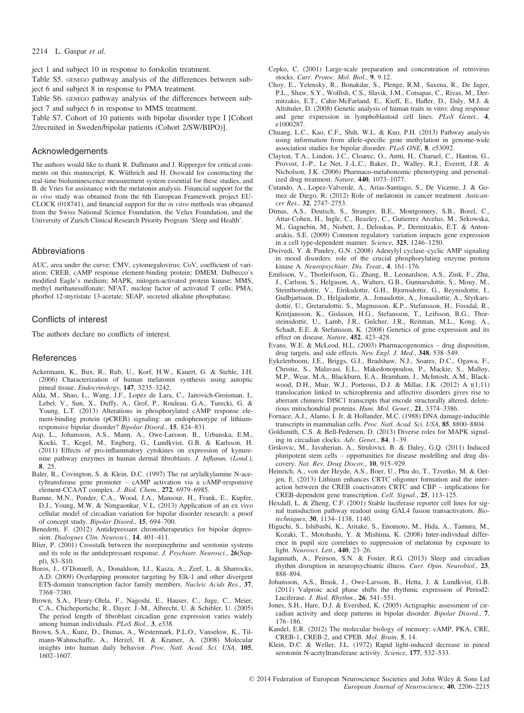## 2214 L. Gaspar et al.

ject 1 and subject 10 in response to forskolin treatment.

Table S5. GENEGO pathway analysis of the differences between subject 6 and subject 8 in response to PMA treatment.

Table S6. GENEGO pathway analysis of the differences between subject 7 and subject 6 in response to MMS treatment.

Table S7. Cohort of 10 patients with bipolar disorder type I [Cohort 2/recruited in Sweden/bipolar patients (Cohort 2/SW/BIPO)].

## Acknowledgements

The authors would like to thank R. Dallmann and J. Ripperger for critical comments on this manuscript, K. Wüthrich and H. Osswald for constructing the real-time bioluminescence measurement system essential for these studies, and B. de Vries for assistance with the melatonin analysis. Financial support for the in vivo study was obtained from the 6th European Framework project EU-CLOCK (018741), and financial support for the in vitro methods was obtained from the Swiss National Science Foundation, the Velux Foundation, and the University of Zurich Clinical Research Priority Program 'Sleep and Health'.

## Abbreviations

AUC, area under the curve; CMV, cytomegalovirus; CoV, coefficient of variation; CREB, cAMP response element-binding protein; DMEM, Dulbecco's modified Eagle's medium; MAPK, mitogen-activated protein kinase; MMS, methyl methanesulfonate; NFAT, nuclear factor of activated T cells; PMA, phorbol 12-myristate 13-acetate; SEAP, secreted alkaline phosphatase.

## Conflicts of interest

The authors declare no conflicts of interest.

#### References

- Ackermann, K., Bux, R., Rub, U., Korf, H.W., Kauert, G. & Stehle, J.H. (2006) Characterization of human melatonin synthesis using autoptic pineal tissue. Endocrinology, 147, 3235–3242.
- Alda, M., Shao, L., Wang, J.F., Lopez de Lara, C., Jaitovich-Groisman, I., Lebel, V., Sun, X., Duffy, A., Grof, P., Rouleau, G.A., Turecki, G. & Young, L.T. (2013) Alterations in phosphorylated cAMP response element-binding protein (pCREB) signaling: an endophenotype of lithiumresponsive bipolar disorder? Bipolar Disord., 15, 824–831.
- Asp, L., Johansson, A.S., Mann, A., Owe-Larsson, B., Urbanska, E.M., Kocki, T., Kegel, M., Engberg, G., Lundkvist, G.B. & Karlsson, H. (2011) Effects of pro-inflammatory cytokines on expression of kynurenine pathway enzymes in human dermal fibroblasts. J. Inflamm. (Lond.), 8, 25.
- Baler, R., Covington, S. & Klein, D.C. (1997) The rat arylalkylamine N-acetyltransferase gene promoter – cAMP activation via a cAMP-responsive element-CCAAT complex. J. Biol. Chem., 272, 6979–6985.
- Bamne, M.N., Ponder, C.A., Wood, J.A., Mansour, H., Frank, E., Kupfer, D.J., Young, M.W. & Nimgaonkar, V.L. (2013) Application of an ex vivo cellular model of circadian variation for bipolar disorder research: a proof of concept study. Bipolar Disord., 15, 694–700.
- Benedetti, F. (2012) Antidepressant chronotherapeutics for bipolar depression. Dialogues Clin. Neurosci., 14, 401–411.
- Blier, P. (2001) Crosstalk between the norepinephrine and serotonin systems and its role in the antidepressant response. J. Psychiatr. Neurosci., 26(Suppl), S3–S10.
- Boros, J., O'Donnell, A., Donaldson, I.J., Kasza, A., Zeef, L. & Sharrocks, A.D. (2009) Overlapping promoter targeting by Elk-1 and other divergent ETS-domain transcription factor family members. Nucleic Acids Res., 37, 7368–7380.
- Brown, S.A., Fleury-Olela, F., Nagoshi, E., Hauser, C., Juge, C., Meier, C.A., Chicheportiche, R., Dayer, J.-M., Albrecht, U. & Schibler, U. (2005) The period length of fibroblast circadian gene expression varies widely among human individuals. PLoS Biol., 3, e338.
- Brown, S.A., Kunz, D., Dumas, A., Westermark, P.L.O., Vanselow, K., Tilmann-Wahnschaffe, A., Herzel, H. & Kramer, A. (2008) Molecular insights into human daily behavior. Proc. Natl. Acad. Sci. USA, 105, 1602–1607.
- Cepko, C. (2001) Large-scale preparation and concentration of retrovirus stocks. Curr. Protoc. Mol. Biol., 9, 9.12.
- Choy, E., Yelensky, R., Bonakdar, S., Plenge, R.M., Saxena, R., De Jager, P.L., Shaw, S.Y., Wolfish, C.S., Slavik, J.M., Cotsapas, C., Rivas, M., Dermitzakis, E.T., Cahir-McFarland, E., Kieff, E., Hafler, D., Daly, M.J. & Altshuler, D. (2008) Genetic analysis of human traits in vitro: drug response and gene expression in lymphoblastoid cell lines. PLoS Genet., 4, e1000287
- Chuang, L.C., Kao, C.F., Shih, W.L. & Kuo, P.H. (2013) Pathway analysis using information from allele-specific gene methylation in genome-wide association studies for bipolar disorder. PLoS ONE, 8, e53092.
- Clayton, T.A., Lindon, J.C., Cloarec, O., Antti, H., Charuel, C., Hanton, G., Provost, J.-P., Le Net, J.-L.C., Baker, D., Walley, R.J., Everett, J.R. & Nicholson, J.K. (2006) Pharmaco-metabonomic phenotyping and personalized drug treatment. Nature, 440, 1073–1077.
- Cutando, A., Lopez-Valverde, A., Arias-Santiago, S., De Vicente, J. & Gomez de Diego, R. (2012) Role of melatonin in cancer treatment. Anticancer Res., 32, 2747–2753.
- Dimas, A.S., Deutsch, S., Stranger, B.E., Montgomery, S.B., Borel, C., Attar-Cohen, H., Ingle, C., Beazley, C., Gutierrez Arcelus, M., Sekowska, M., Gagnebin, M., Nisbett, J., Deloukas, P., Dermitzakis, E.T. & Antonarakis, S.E. (2009) Common regulatory variation impacts gene expression in a cell type-dependent manner. Science, 325, 1246–1250.
- Dwivedi, Y. & Pandey, G.N. (2008) Adenylyl cyclase–cyclic AMP signaling in mood disorders: role of the crucial phosphorylating enzyme protein kinase A. Neuropsychiatr. Dis. Treat., 4, 161–176.
- Emilsson, V., Thorleifsson, G., Zhang, B., Leonardson, A.S., Zink, F., Zhu, J., Carlson, S., Helgason, A., Walters, G.B., Gunnarsdottir, S., Mouy, M., Steinthorsdottir, V., Eiriksdottir, G.H., Bjornsdottir, G., Reynisdottir, I., Gudbjartsson, D., Helgadottir, A., Jonasdottir, A., Jonasdottir, A., Styrkarsdottir, U., Gretarsdottir, S., Magnusson, K.P., Stefansson, H., Fossdal, R., Kristjansson, K., Gislason, H.G., Stefansson, T., Leifsson, B.G., Thorsteinsdottir, U., Lamb, J.R., Gulcher, J.R., Reitman, M.L., Kong, A., Schadt, E.E. & Stefansson, K. (2008) Genetics of gene expression and its effect on disease. Nature, 452, 423–428.
- Evans, W.E. & McLeod, H.L. (2003) Pharmacogenomics drug disposition, drug targets, and side effects. New Engl. J. Med., 348, 538-549.
- Eykelenboom, J.E., Briggs, G.J., Bradshaw, N.J., Soares, D.C., Ogawa, F., Christie, S., Malavasi, E.L., Makedonopoulou, P., Mackie, S., Malloy, M.P., Wear, M.A., Blackburn, E.A., Bramham, J., McIntosh, A.M., Blackwood, D.H., Muir, W.J., Porteous, D.J. & Millar, J.K. (2012) A t(1;11) translocation linked to schizophrenia and affective disorders gives rise to aberrant chimeric DISC1 transcripts that encode structurally altered, deleterious mitochondrial proteins. Hum. Mol. Genet., 21, 3374–3386.
- Fornace, A.J., Alamo, I. Jr. & Hollander, M.C. (1988) DNA damage-inducible transcripts in mammalian cells. Proc. Natl. Acad. Sci. USA, 85, 8800–8804.
- Goldsmith, C.S. & Bell-Pedersen, D. (2013) Diverse roles for MAPK signaling in circadian clocks. Adv. Genet., 84, 1–39.
- Grskovic, M., Javaherian, A., Strulovici, B. & Daley, G.Q. (2011) Induced pluripotent stem cells – opportunities for disease modelling and drug discovery. Nat. Rev. Drug Discov., 10, 915–929.
- Heinrich, A., von der Heyde, A.S., Boer, U., Phu do, T., Tzvetko, M. & Oetjen, E. (2013) Lithium enhances CRTC oligomer formation and the interaction between the CREB coactivators CRTC and CBP – implications for CREB-dependent gene transcription. Cell. Signal., 25, 113–125.
- Hexdall, L. & Zheng, C.F. (2001) Stable luciferase reporter cell lines for signal transduction pathway readout using GAL4 fusion transactivators. Biotechniques, 30, 1134–1138, 1140.
- Higuchi, S., Ishibashi, K., Aritake, S., Enomoto, M., Hida, A., Tamura, M., Kozaki, T., Motohashi, Y. & Mishima, K. (2008) Inter-individual difference in pupil size correlates to suppression of melatonin by exposure to light. Neurosci. Lett., 440, 23–26.
- Jagannath, A., Peirson, S.N. & Foster, R.G. (2013) Sleep and circadian rhythm disruption in neuropsychiatric illness. Curr. Opin. Neurobiol., 23, 888–894.
- Johansson, A.S., Brask, J., Owe-Larsson, B., Hetta, J. & Lundkvist, G.B. (2011) Valproic acid phase shifts the rhythmic expression of Period2: Luciferase. J. Biol. Rhythm., 26, 541–551.
- Jones, S.H., Hare, D.J. & Evershed, K. (2005) Actigraphic assessment of circadian activity and sleep patterns in bipolar disorder. Bipolar Disord., 7, 176–186.
- Kandel, E.R. (2012) The molecular biology of memory: cAMP, PKA, CRE, CREB-1, CREB-2, and CPEB. Mol. Brain, 5, 14.
- Klein, D.C. & Weller, J.L. (1972) Rapid light-induced decrease in pineal serotonin N-acetyltransferase activity. Science, 177, 532-533.